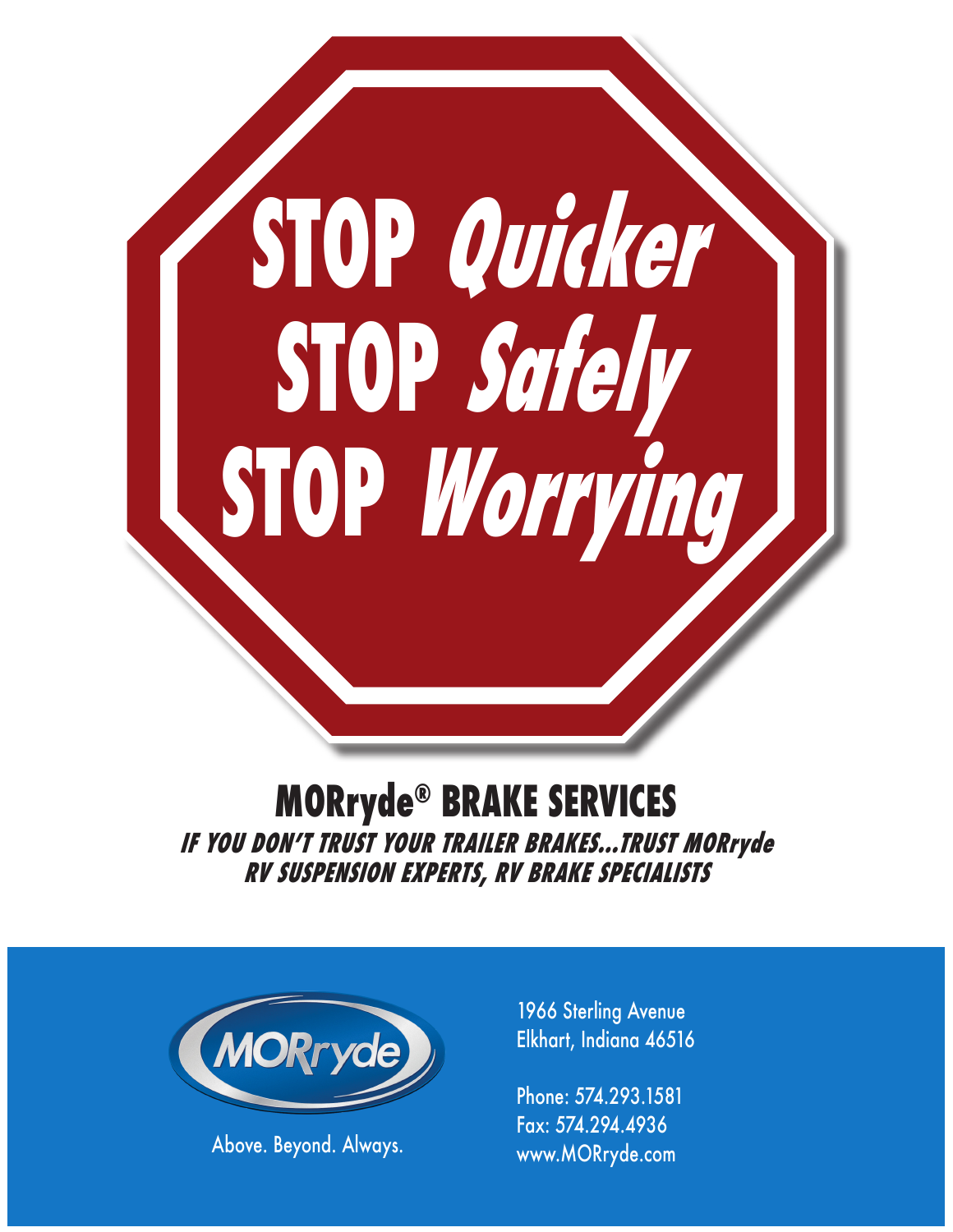

# **MORryde® BRAKE SERVICES IF YOU DON'T TRUST YOUR TRAILER BRAKES...TRUST MORryde RV SUSPENSION EXPERTS, RV BRAKE SPECIALISTS**



1966 Sterling Avenue Elkhart, Indiana 46516

Phone: 574.293.1581 Fax: 574.294.4936 Above. Beyond. Always. Www.MORryde.com